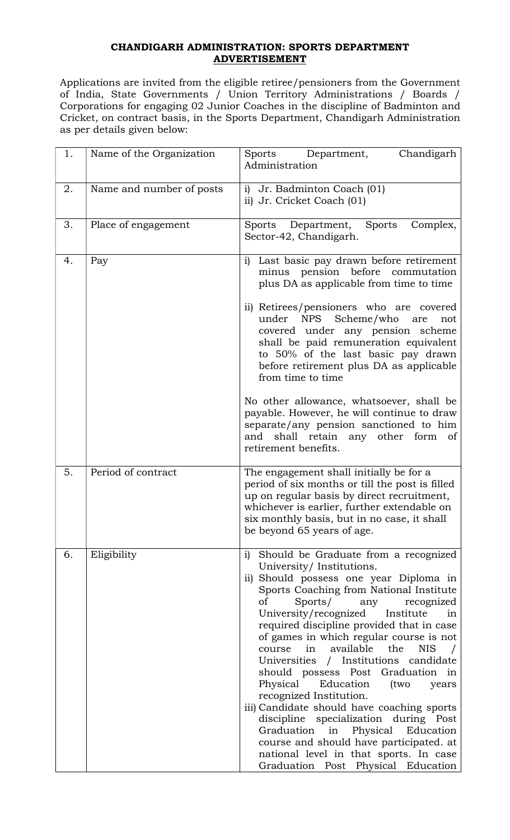## CHANDIGARH ADMINISTRATION: SPORTS DEPARTMENT ADVERTISEMENT

Applications are invited from the eligible retiree/pensioners from the Government of India, State Governments / Union Territory Administrations / Boards / Corporations for engaging 02 Junior Coaches in the discipline of Badminton and Cricket, on contract basis, in the Sports Department, Chandigarh Administration as per details given below:

| 1. | Name of the Organization | Department,<br>Chandigarh<br>Sports<br>Administration                                                                                                                                                                                                                                                                                                                                                                                                                                                                                                                                                                                                                                                                                                                                           |  |
|----|--------------------------|-------------------------------------------------------------------------------------------------------------------------------------------------------------------------------------------------------------------------------------------------------------------------------------------------------------------------------------------------------------------------------------------------------------------------------------------------------------------------------------------------------------------------------------------------------------------------------------------------------------------------------------------------------------------------------------------------------------------------------------------------------------------------------------------------|--|
| 2. | Name and number of posts | i) Jr. Badminton Coach (01)<br>ii) Jr. Cricket Coach (01)                                                                                                                                                                                                                                                                                                                                                                                                                                                                                                                                                                                                                                                                                                                                       |  |
| 3. | Place of engagement      | Department, Sports<br>Sports<br>Complex,<br>Sector-42, Chandigarh.                                                                                                                                                                                                                                                                                                                                                                                                                                                                                                                                                                                                                                                                                                                              |  |
| 4. | Pay                      | Last basic pay drawn before retirement<br>$\mathbf{i}$<br>minus pension before commutation<br>plus DA as applicable from time to time<br>ii) Retirees/pensioners who are covered<br>under NPS Scheme/who are<br>not<br>covered under any pension scheme<br>shall be paid remuneration equivalent<br>to 50% of the last basic pay drawn<br>before retirement plus DA as applicable<br>from time to time<br>No other allowance, whatsoever, shall be<br>payable. However, he will continue to draw<br>separate/any pension sanctioned to him<br>shall retain any other form of<br>and<br>retirement benefits.                                                                                                                                                                                     |  |
| 5. | Period of contract       | The engagement shall initially be for a<br>period of six months or till the post is filled<br>up on regular basis by direct recruitment,<br>whichever is earlier, further extendable on<br>six monthly basis, but in no case, it shall<br>be beyond 65 years of age.                                                                                                                                                                                                                                                                                                                                                                                                                                                                                                                            |  |
| 6. | Eligibility              | i)<br>Should be Graduate from a recognized<br>University/Institutions.<br>ii) Should possess one year Diploma in<br>Sports Coaching from National Institute<br>οf<br>Sports/<br>recognized<br>any<br>University/recognized<br>Institute<br>in<br>required discipline provided that in case<br>of games in which regular course is not<br>in<br>available the<br>course<br>NIS<br>Universities / Institutions candidate<br>should possess Post Graduation in<br>Physical<br>Education<br>(two<br>years<br>recognized Institution.<br>iii) Candidate should have coaching sports<br>discipline specialization during Post<br>Graduation<br>Physical<br>Education<br>in<br>course and should have participated. at<br>national level in that sports. In case<br>Graduation Post Physical Education |  |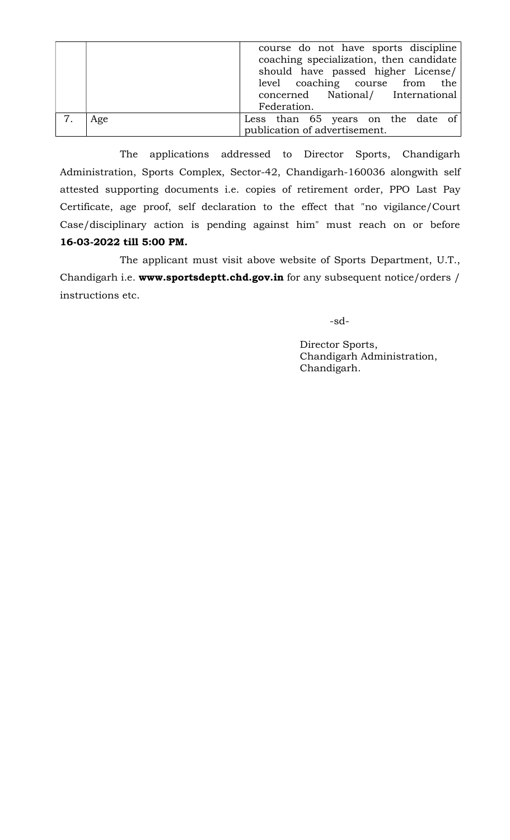|     | course do not have sports discipline<br>coaching specialization, then candidate<br>should have passed higher License/<br>level coaching course from the<br>concerned National/ International<br>Federation. |
|-----|-------------------------------------------------------------------------------------------------------------------------------------------------------------------------------------------------------------|
| Age | Less than 65 years on the date of<br>publication of advertisement.                                                                                                                                          |

 The applications addressed to Director Sports, Chandigarh Administration, Sports Complex, Sector-42, Chandigarh-160036 alongwith self attested supporting documents i.e. copies of retirement order, PPO Last Pay Certificate, age proof, self declaration to the effect that "no vigilance/Court Case/disciplinary action is pending against him" must reach on or before 16-03-2022 till 5:00 PM.

 The applicant must visit above website of Sports Department, U.T., Chandigarh i.e. www.sportsdeptt.chd.gov.in for any subsequent notice/orders / instructions etc.

-sd-

Director Sports, Chandigarh Administration, Chandigarh.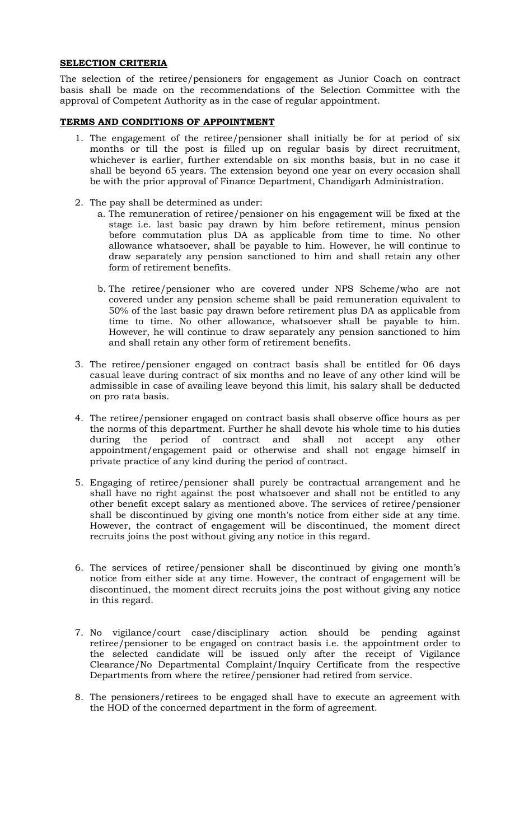## SELECTION CRITERIA

The selection of the retiree/pensioners for engagement as Junior Coach on contract basis shall be made on the recommendations of the Selection Committee with the approval of Competent Authority as in the case of regular appointment.

## TERMS AND CONDITIONS OF APPOINTMENT

- 1. The engagement of the retiree/pensioner shall initially be for at period of six months or till the post is filled up on regular basis by direct recruitment, whichever is earlier, further extendable on six months basis, but in no case it shall be beyond 65 years. The extension beyond one year on every occasion shall be with the prior approval of Finance Department, Chandigarh Administration.
- 2. The pay shall be determined as under:
	- a. The remuneration of retiree/pensioner on his engagement will be fixed at the stage i.e. last basic pay drawn by him before retirement, minus pension before commutation plus DA as applicable from time to time. No other allowance whatsoever, shall be payable to him. However, he will continue to draw separately any pension sanctioned to him and shall retain any other form of retirement benefits.
	- b. The retiree/pensioner who are covered under NPS Scheme/who are not covered under any pension scheme shall be paid remuneration equivalent to 50% of the last basic pay drawn before retirement plus DA as applicable from time to time. No other allowance, whatsoever shall be payable to him. However, he will continue to draw separately any pension sanctioned to him and shall retain any other form of retirement benefits.
- 3. The retiree/pensioner engaged on contract basis shall be entitled for 06 days casual leave during contract of six months and no leave of any other kind will be admissible in case of availing leave beyond this limit, his salary shall be deducted on pro rata basis.
- 4. The retiree/pensioner engaged on contract basis shall observe office hours as per the norms of this department. Further he shall devote his whole time to his duties during the period of contract and shall not accept any other appointment/engagement paid or otherwise and shall not engage himself in private practice of any kind during the period of contract.
- 5. Engaging of retiree/pensioner shall purely be contractual arrangement and he shall have no right against the post whatsoever and shall not be entitled to any other benefit except salary as mentioned above. The services of retiree/pensioner shall be discontinued by giving one month's notice from either side at any time. However, the contract of engagement will be discontinued, the moment direct recruits joins the post without giving any notice in this regard.
- 6. The services of retiree/pensioner shall be discontinued by giving one month's notice from either side at any time. However, the contract of engagement will be discontinued, the moment direct recruits joins the post without giving any notice in this regard.
- 7. No vigilance/court case/disciplinary action should be pending against retiree/pensioner to be engaged on contract basis i.e. the appointment order to the selected candidate will be issued only after the receipt of Vigilance Clearance/No Departmental Complaint/Inquiry Certificate from the respective Departments from where the retiree/pensioner had retired from service.
- 8. The pensioners/retirees to be engaged shall have to execute an agreement with the HOD of the concerned department in the form of agreement.